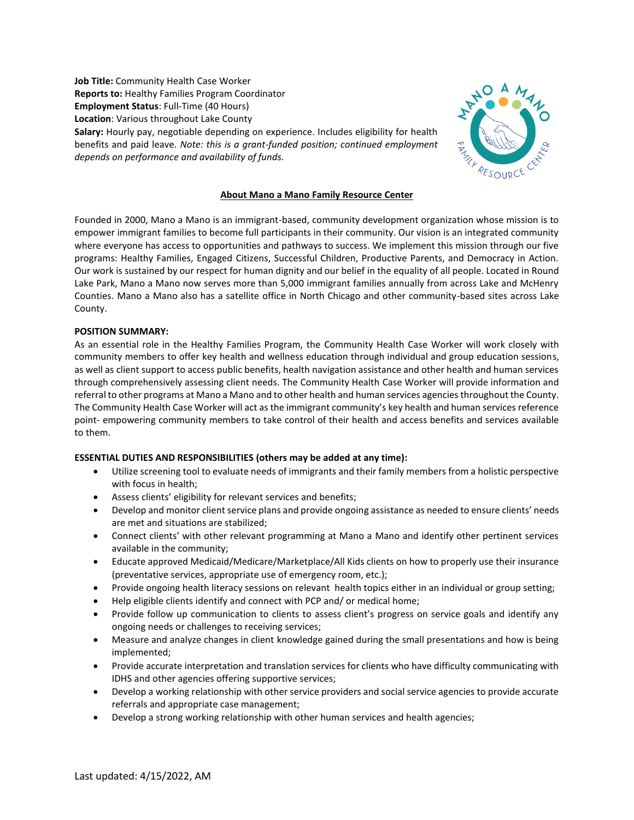**Job Title:** Community Health Case Worker **Reports to:** Healthy Families Program Coordinator **Employment Status**: Full-Time (40 Hours) **Location**: Various throughout Lake County **Salary:** Hourly pay, negotiable depending on experience. Includes eligibility for health benefits and paid leave. *Note: this is a grant-funded position; continued employment depends on performance and availability of funds.*



## **About Mano a Mano Family Resource Center**

Founded in 2000, Mano a Mano is an immigrant-based, community development organization whose mission is to empower immigrant families to become full participants in their community. Our vision is an integrated community where everyone has access to opportunities and pathways to success. We implement this mission through our five programs: Healthy Families, Engaged Citizens, Successful Children, Productive Parents, and Democracy in Action. Our work is sustained by our respect for human dignity and our belief in the equality of all people. Located in Round Lake Park, Mano a Mano now serves more than 5,000 immigrant families annually from across Lake and McHenry Counties. Mano a Mano also has a satellite office in North Chicago and other community-based sites across Lake County.

## **POSITION SUMMARY:**

As an essential role in the Healthy Families Program, the Community Health Case Worker will work closely with community members to offer key health and wellness education through individual and group education sessions, as well as client support to access public benefits, health navigation assistance and other health and human services through comprehensively assessing client needs. The Community Health Case Worker will provide information and referral to other programs at Mano a Mano and to other health and human services agencies throughout the County. The Community Health Case Worker will act as the immigrant community's key health and human services reference point- empowering community members to take control of their health and access benefits and services available to them.

## **ESSENTIAL DUTIES AND RESPONSIBILITIES (others may be added at any time):**

- Utilize screening tool to evaluate needs of immigrants and their family members from a holistic perspective with focus in health;
- Assess clients' eligibility for relevant services and benefits;
- Develop and monitor client service plans and provide ongoing assistance as needed to ensure clients' needs are met and situations are stabilized;
- Connect clients' with other relevant programming at Mano a Mano and identify other pertinent services available in the community;
- Educate approved Medicaid/Medicare/Marketplace/All Kids clients on how to properly use their insurance (preventative services, appropriate use of emergency room, etc.);
- Provide ongoing health literacy sessions on relevant health topics either in an individual or group setting;
- Help eligible clients identify and connect with PCP and/ or medical home;
- Provide follow up communication to clients to assess client's progress on service goals and identify any ongoing needs or challenges to receiving services;
- Measure and analyze changes in client knowledge gained during the small presentations and how is being implemented;
- Provide accurate interpretation and translation services for clients who have difficulty communicating with IDHS and other agencies offering supportive services;
- Develop a working relationship with other service providers and social service agencies to provide accurate referrals and appropriate case management;
- Develop a strong working relationship with other human services and health agencies;